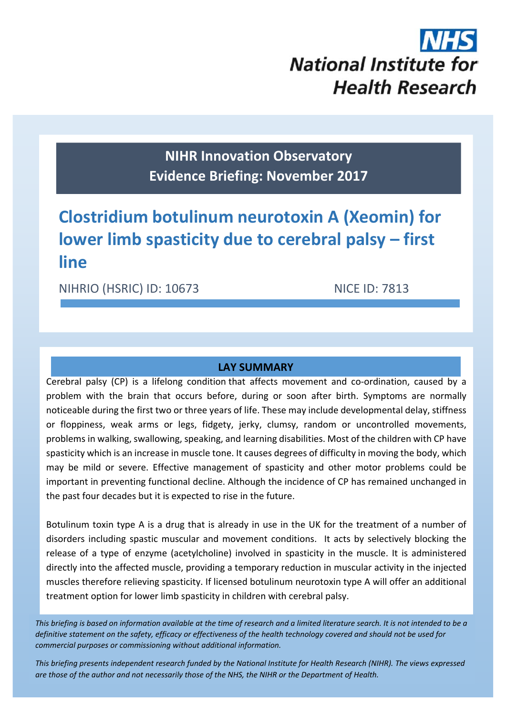# **National Institute for Health Research**

**NIHR Innovation Observatory Evidence Briefing: November 2017**

# **Clostridium botulinum neurotoxin A (Xeomin) for lower limb spasticity due to cerebral palsy – first line**

NIHRIO (HSRIC) ID: 10673 NICE ID: 7813

# **LAY SUMMARY**

Cerebral palsy (CP) is a lifelong condition that affects movement and co-ordination, caused by a problem with the brain that occurs before, during or soon after birth. Symptoms are normally noticeable during the first two or three years of life. These may include developmental delay, stiffness or floppiness, weak arms or legs, fidgety, jerky, clumsy, random or uncontrolled movements, problems in walking, swallowing, speaking, and learning disabilities. Most of the children with CP have spasticity which is an increase in muscle tone. It causes degrees of difficulty in moving the body, which may be mild or severe. Effective management of spasticity and other motor problems could be important in preventing functional decline. Although the incidence of CP has remained unchanged in the past four decades but it is expected to rise in the future.

Botulinum toxin type A is a drug that is already in use in the UK for the treatment of a number of disorders including spastic muscular and movement conditions. It acts by selectively blocking the release of a type of enzyme (acetylcholine) involved in spasticity in the muscle. It is administered directly into the affected muscle, providing a temporary reduction in muscular activity in the injected muscles therefore relieving spasticity. If licensed botulinum neurotoxin type A will offer an additional treatment option for lower limb spasticity in children with cerebral palsy.

This briefing is based on information available at the time of research and a limited literature search. It is not intended to be a definitive statement on the safety, efficacy or effectiveness of the health technology covered and should not be used for *commercial purposes or commissioning without additional information.*

1 *This briefing presents independent research funded by the National Institute for Health Research (NIHR). The views expressed* are those of the author and not necessarily those of the NHS, the NIHR or the Department of Health.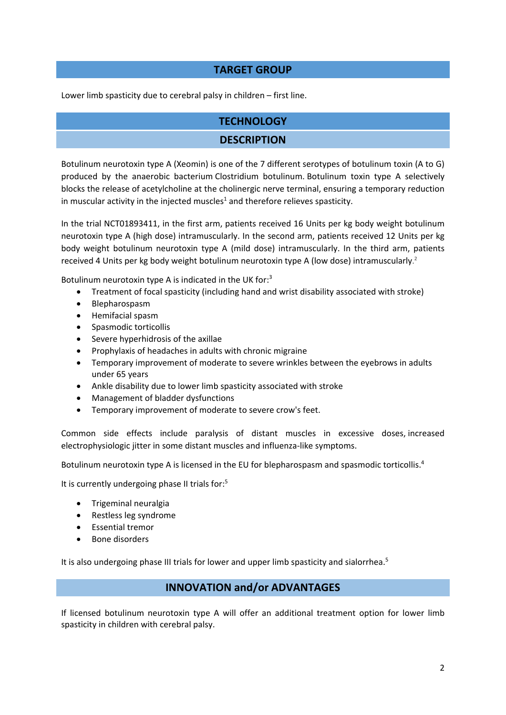# **TARGET GROUP**

Lower limb spasticity due to cerebral palsy in children – first line.

# **TECHNOLOGY**

# **DESCRIPTION**

Botulinum neurotoxin type A (Xeomin) is one of the 7 different serotypes of botulinum toxin (A to G) produced by the anaerobic bacterium Clostridium botulinum. Botulinum toxin type A selectively blocks the release of acetylcholine at the cholinergic nerve terminal, ensuring a temporary reduction in muscular activity in the injected muscles<sup>1</sup> and therefore relieves spasticity.

In the trial NCT01893411, in the first arm, patients received 16 Units per kg body weight botulinum neurotoxin type A (high dose) intramuscularly. In the second arm, patients received 12 Units per kg body weight botulinum neurotoxin type A (mild dose) intramuscularly. In the third arm, patients received 4 Units per kg body weight botulinum neurotoxin type A (low dose) intramuscularly. 2

Botulinum neurotoxin type A is indicated in the UK for:<sup>3</sup>

- Treatment of focal spasticity (including hand and wrist disability associated with stroke)
- Blepharospasm
- Hemifacial spasm
- Spasmodic torticollis
- Severe hyperhidrosis of the axillae
- Prophylaxis of headaches in adults with chronic migraine
- Temporary improvement of moderate to severe wrinkles between the eyebrows in adults under 65 years
- Ankle disability due to lower limb spasticity associated with stroke
- Management of bladder dysfunctions
- Temporary improvement of moderate to severe crow's feet.

Common side effects include paralysis of distant muscles in excessive doses, increased electrophysiologic jitter in some distant muscles and influenza‐like symptoms.

Botulinum neurotoxin type A is licensed in the EU for blepharospasm and spasmodic torticollis.<sup>4</sup>

It is currently undergoing phase II trials for:<sup>5</sup>

- Trigeminal neuralgia
- Restless leg syndrome
- **•** Essential tremor
- Bone disorders

It is also undergoing phase III trials for lower and upper limb spasticity and sialorrhea. $5$ 

# **INNOVATION and/or ADVANTAGES**

If licensed botulinum neurotoxin type A will offer an additional treatment option for lower limb spasticity in children with cerebral palsy.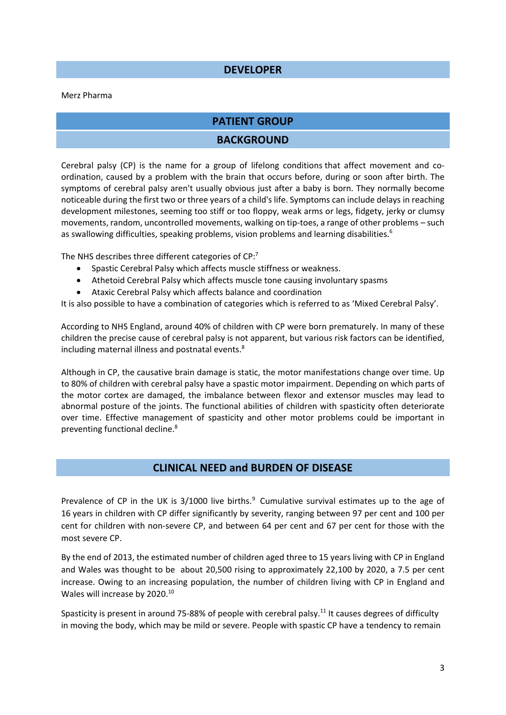#### **DEVELOPER**

#### Merz Pharma

#### **PATIENT GROUP**

#### **BACKGROUND**

Cerebral palsy (CP) is the name for a group of lifelong conditions that affect movement and co‐ ordination, caused by a problem with the brain that occurs before, during or soon after birth. The symptoms of cerebral palsy aren't usually obvious just after a baby is born. They normally become noticeable during the first two or three years of a child's life. Symptoms can include delays in reaching development milestones, seeming too stiff or too floppy, weak arms or legs, fidgety, jerky or clumsy movements, random, uncontrolled movements, walking on tip-toes, a range of other problems – such as swallowing difficulties, speaking problems, vision problems and learning disabilities.<sup>6</sup>

The NHS describes three different categories of CP:<sup>7</sup>

- Spastic Cerebral Palsy which affects muscle stiffness or weakness.
- Athetoid Cerebral Palsy which affects muscle tone causing involuntary spasms
- Ataxic Cerebral Palsy which affects balance and coordination

It is also possible to have a combination of categories which is referred to as 'Mixed Cerebral Palsy'.

According to NHS England, around 40% of children with CP were born prematurely. In many of these children the precise cause of cerebral palsy is not apparent, but various risk factors can be identified, including maternal illness and postnatal events.<sup>8</sup>

Although in CP, the causative brain damage is static, the motor manifestations change over time. Up to 80% of children with cerebral palsy have a spastic motor impairment. Depending on which parts of the motor cortex are damaged, the imbalance between flexor and extensor muscles may lead to abnormal posture of the joints. The functional abilities of children with spasticity often deteriorate over time. Effective management of spasticity and other motor problems could be important in preventing functional decline.8

#### **CLINICAL NEED and BURDEN OF DISEASE**

Prevalence of CP in the UK is  $3/1000$  live births.<sup>9</sup> Cumulative survival estimates up to the age of 16 years in children with CP differ significantly by severity, ranging between 97 per cent and 100 per cent for children with non‐severe CP, and between 64 per cent and 67 per cent for those with the most severe CP.

By the end of 2013, the estimated number of children aged three to 15 years living with CP in England and Wales was thought to be about 20,500 rising to approximately 22,100 by 2020, a 7.5 per cent increase. Owing to an increasing population, the number of children living with CP in England and Wales will increase by 2020.<sup>10</sup>

Spasticity is present in around 75-88% of people with cerebral palsy.<sup>11</sup> It causes degrees of difficulty in moving the body, which may be mild or severe. People with spastic CP have a tendency to remain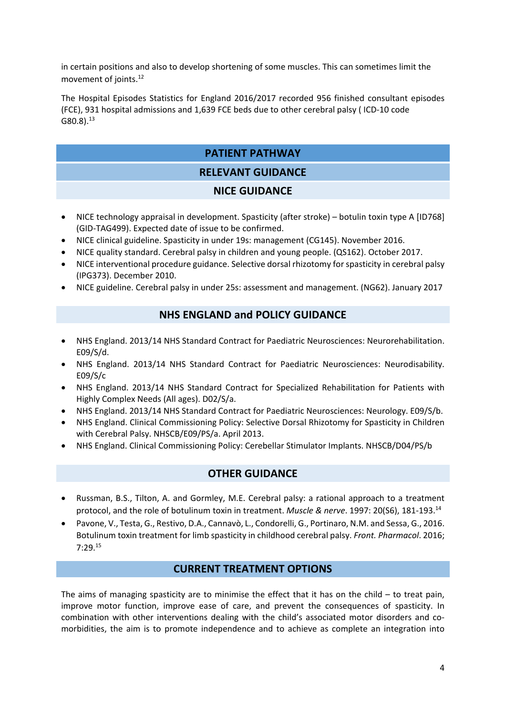in certain positions and also to develop shortening of some muscles. This can sometimes limit the movement of joints.12

The Hospital Episodes Statistics for England 2016/2017 recorded 956 finished consultant episodes (FCE), 931 hospital admissions and 1,639 FCE beds due to other cerebral palsy ( ICD‐10 code  $G80.8$ ). $^{13}$ 

# **PATIENT PATHWAY**

# **RELEVANT GUIDANCE**

# **NICE GUIDANCE**

- NICE technology appraisal in development. Spasticity (after stroke) botulin toxin type A [ID768] (GID‐TAG499). Expected date of issue to be confirmed.
- NICE clinical guideline. Spasticity in under 19s: management (CG145). November 2016.
- NICE quality standard. Cerebral palsy in children and young people. (QS162). October 2017.
- NICE interventional procedure guidance. Selective dorsal rhizotomy for spasticity in cerebral palsy (IPG373). December 2010.
- NICE guideline. Cerebral palsy in under 25s: assessment and management. (NG62). January 2017

# **NHS ENGLAND and POLICY GUIDANCE**

- NHS England. 2013/14 NHS Standard Contract for Paediatric Neurosciences: Neurorehabilitation. E09/S/d.
- NHS England. 2013/14 NHS Standard Contract for Paediatric Neurosciences: Neurodisability. E09/S/c
- NHS England. 2013/14 NHS Standard Contract for Specialized Rehabilitation for Patients with Highly Complex Needs (All ages). D02/S/a.
- NHS England. 2013/14 NHS Standard Contract for Paediatric Neurosciences: Neurology. E09/S/b.
- NHS England. Clinical Commissioning Policy: Selective Dorsal Rhizotomy for Spasticity in Children with Cerebral Palsy. NHSCB/E09/PS/a. April 2013.
- NHS England. Clinical Commissioning Policy: Cerebellar Stimulator Implants. NHSCB/D04/PS/b

# **OTHER GUIDANCE**

- Russman, B.S., Tilton, A. and Gormley, M.E. Cerebral palsy: a rational approach to a treatment protocol, and the role of botulinum toxin in treatment. *Muscle & nerve*. 1997: 20(S6), 181‐193.14
- Pavone, V., Testa, G., Restivo, D.A., Cannavò, L., Condorelli, G., Portinaro, N.M. and Sessa, G., 2016. Botulinum toxin treatment for limb spasticity in childhood cerebral palsy. *Front. Pharmacol*. 2016; 7:29.15

# **CURRENT TREATMENT OPTIONS**

The aims of managing spasticity are to minimise the effect that it has on the child  $-$  to treat pain, improve motor function, improve ease of care, and prevent the consequences of spasticity. In combination with other interventions dealing with the child's associated motor disorders and comorbidities, the aim is to promote independence and to achieve as complete an integration into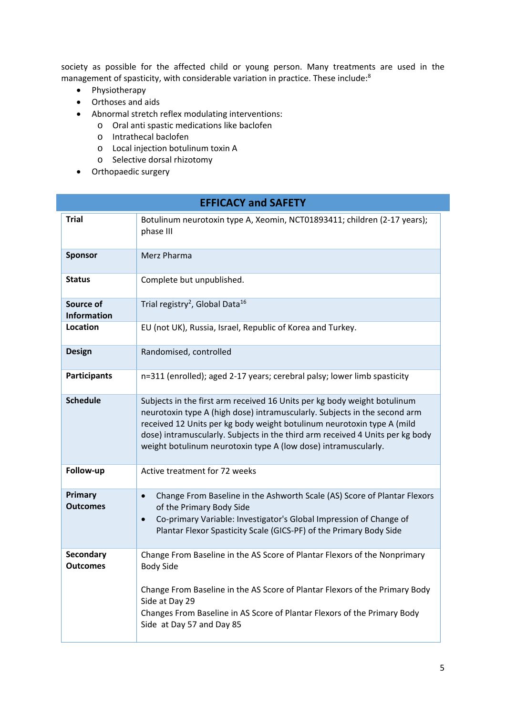society as possible for the affected child or young person. Many treatments are used in the management of spasticity, with considerable variation in practice. These include:8

- Physiotherapy
- Orthoses and aids
- Abnormal stretch reflex modulating interventions:
	- o Oral anti spastic medications like baclofen
	- o Intrathecal baclofen
	- o Local injection botulinum toxin A
	- o Selective dorsal rhizotomy
- Orthopaedic surgery

| <b>EFFICACY and SAFETY</b>          |                                                                                                                                                                                                                                                                                                                                                                                    |  |  |  |
|-------------------------------------|------------------------------------------------------------------------------------------------------------------------------------------------------------------------------------------------------------------------------------------------------------------------------------------------------------------------------------------------------------------------------------|--|--|--|
| <b>Trial</b>                        | Botulinum neurotoxin type A, Xeomin, NCT01893411; children (2-17 years);<br>phase III                                                                                                                                                                                                                                                                                              |  |  |  |
| Sponsor                             | Merz Pharma                                                                                                                                                                                                                                                                                                                                                                        |  |  |  |
| <b>Status</b>                       | Complete but unpublished.                                                                                                                                                                                                                                                                                                                                                          |  |  |  |
| Source of<br><b>Information</b>     | Trial registry <sup>2</sup> , Global Data <sup>16</sup>                                                                                                                                                                                                                                                                                                                            |  |  |  |
| <b>Location</b>                     | EU (not UK), Russia, Israel, Republic of Korea and Turkey.                                                                                                                                                                                                                                                                                                                         |  |  |  |
| <b>Design</b>                       | Randomised, controlled                                                                                                                                                                                                                                                                                                                                                             |  |  |  |
| <b>Participants</b>                 | n=311 (enrolled); aged 2-17 years; cerebral palsy; lower limb spasticity                                                                                                                                                                                                                                                                                                           |  |  |  |
| <b>Schedule</b>                     | Subjects in the first arm received 16 Units per kg body weight botulinum<br>neurotoxin type A (high dose) intramuscularly. Subjects in the second arm<br>received 12 Units per kg body weight botulinum neurotoxin type A (mild<br>dose) intramuscularly. Subjects in the third arm received 4 Units per kg body<br>weight botulinum neurotoxin type A (low dose) intramuscularly. |  |  |  |
| Follow-up                           | Active treatment for 72 weeks                                                                                                                                                                                                                                                                                                                                                      |  |  |  |
| Primary<br><b>Outcomes</b>          | Change From Baseline in the Ashworth Scale (AS) Score of Plantar Flexors<br>$\bullet$<br>of the Primary Body Side<br>Co-primary Variable: Investigator's Global Impression of Change of<br>$\bullet$<br>Plantar Flexor Spasticity Scale (GICS-PF) of the Primary Body Side                                                                                                         |  |  |  |
| <b>Secondary</b><br><b>Outcomes</b> | Change From Baseline in the AS Score of Plantar Flexors of the Nonprimary<br><b>Body Side</b><br>Change From Baseline in the AS Score of Plantar Flexors of the Primary Body<br>Side at Day 29<br>Changes From Baseline in AS Score of Plantar Flexors of the Primary Body<br>Side at Day 57 and Day 85                                                                            |  |  |  |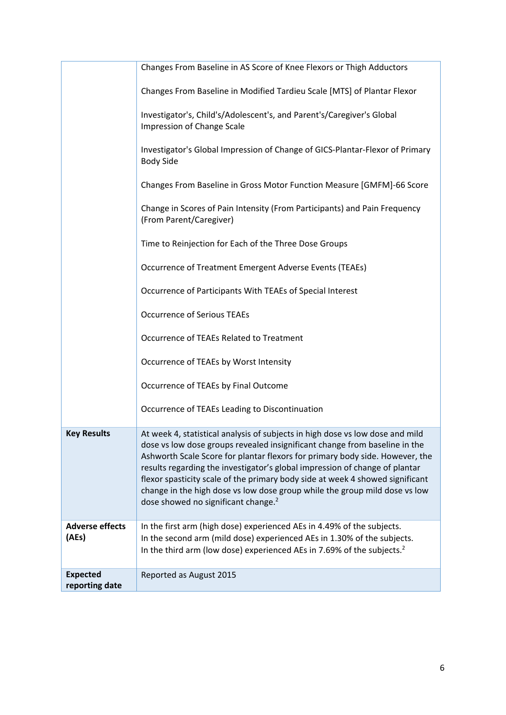|                                   | Changes From Baseline in AS Score of Knee Flexors or Thigh Adductors                                                                                                                                                                                                                                                                                                                                                                                                                                                                         |
|-----------------------------------|----------------------------------------------------------------------------------------------------------------------------------------------------------------------------------------------------------------------------------------------------------------------------------------------------------------------------------------------------------------------------------------------------------------------------------------------------------------------------------------------------------------------------------------------|
|                                   | Changes From Baseline in Modified Tardieu Scale [MTS] of Plantar Flexor                                                                                                                                                                                                                                                                                                                                                                                                                                                                      |
|                                   | Investigator's, Child's/Adolescent's, and Parent's/Caregiver's Global<br>Impression of Change Scale                                                                                                                                                                                                                                                                                                                                                                                                                                          |
|                                   | Investigator's Global Impression of Change of GICS-Plantar-Flexor of Primary<br><b>Body Side</b>                                                                                                                                                                                                                                                                                                                                                                                                                                             |
|                                   | Changes From Baseline in Gross Motor Function Measure [GMFM]-66 Score                                                                                                                                                                                                                                                                                                                                                                                                                                                                        |
|                                   | Change in Scores of Pain Intensity (From Participants) and Pain Frequency<br>(From Parent/Caregiver)                                                                                                                                                                                                                                                                                                                                                                                                                                         |
|                                   | Time to Reinjection for Each of the Three Dose Groups                                                                                                                                                                                                                                                                                                                                                                                                                                                                                        |
|                                   | Occurrence of Treatment Emergent Adverse Events (TEAEs)                                                                                                                                                                                                                                                                                                                                                                                                                                                                                      |
|                                   | Occurrence of Participants With TEAEs of Special Interest                                                                                                                                                                                                                                                                                                                                                                                                                                                                                    |
|                                   | <b>Occurrence of Serious TEAEs</b>                                                                                                                                                                                                                                                                                                                                                                                                                                                                                                           |
|                                   | Occurrence of TEAEs Related to Treatment                                                                                                                                                                                                                                                                                                                                                                                                                                                                                                     |
|                                   | Occurrence of TEAEs by Worst Intensity                                                                                                                                                                                                                                                                                                                                                                                                                                                                                                       |
|                                   | Occurrence of TEAEs by Final Outcome                                                                                                                                                                                                                                                                                                                                                                                                                                                                                                         |
|                                   | Occurrence of TEAEs Leading to Discontinuation                                                                                                                                                                                                                                                                                                                                                                                                                                                                                               |
| <b>Key Results</b>                | At week 4, statistical analysis of subjects in high dose vs low dose and mild<br>dose vs low dose groups revealed insignificant change from baseline in the<br>Ashworth Scale Score for plantar flexors for primary body side. However, the<br>results regarding the investigator's global impression of change of plantar<br>flexor spasticity scale of the primary body side at week 4 showed significant<br>change in the high dose vs low dose group while the group mild dose vs low<br>dose showed no significant change. <sup>2</sup> |
| <b>Adverse effects</b><br>(AEs)   | In the first arm (high dose) experienced AEs in 4.49% of the subjects.<br>In the second arm (mild dose) experienced AEs in 1.30% of the subjects.<br>In the third arm (low dose) experienced AEs in 7.69% of the subjects. <sup>2</sup>                                                                                                                                                                                                                                                                                                      |
| <b>Expected</b><br>reporting date | Reported as August 2015                                                                                                                                                                                                                                                                                                                                                                                                                                                                                                                      |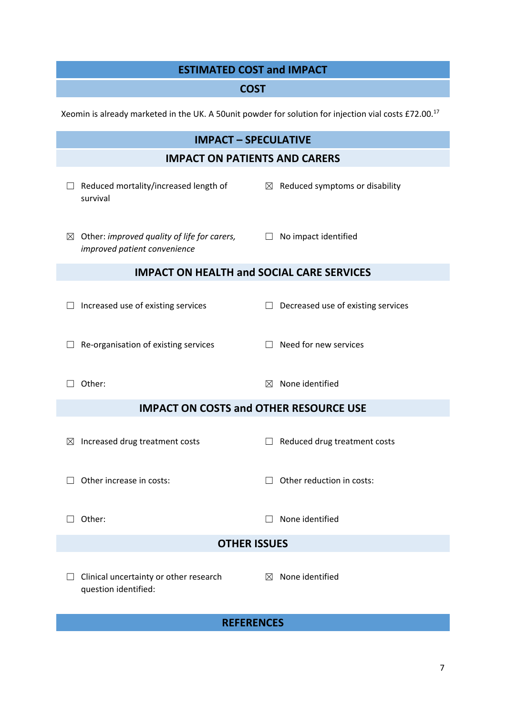# **ESTIMATED COST and IMPACT**

# **COST**

Xeomin is already marketed in the UK. A 50unit powder for solution for injection vial costs £72.00.17

| <b>IMPACT - SPECULATIVE</b>                      |                                                                                    |             |                                            |  |  |
|--------------------------------------------------|------------------------------------------------------------------------------------|-------------|--------------------------------------------|--|--|
|                                                  | <b>IMPACT ON PATIENTS AND CARERS</b>                                               |             |                                            |  |  |
| $\Box$                                           | Reduced mortality/increased length of<br>survival                                  |             | $\boxtimes$ Reduced symptoms or disability |  |  |
| ⊠                                                | Other: improved quality of life for carers, $\Box$<br>improved patient convenience |             | No impact identified                       |  |  |
| <b>IMPACT ON HEALTH and SOCIAL CARE SERVICES</b> |                                                                                    |             |                                            |  |  |
|                                                  | Increased use of existing services                                                 | $\perp$     | Decreased use of existing services         |  |  |
|                                                  | Re-organisation of existing services                                               |             | Need for new services                      |  |  |
|                                                  | Other:                                                                             | $\boxtimes$ | None identified                            |  |  |
| <b>IMPACT ON COSTS and OTHER RESOURCE USE</b>    |                                                                                    |             |                                            |  |  |
| $\bowtie$                                        | Increased drug treatment costs                                                     |             | Reduced drug treatment costs               |  |  |
|                                                  | Other increase in costs:                                                           |             | Other reduction in costs:                  |  |  |
|                                                  | Other:                                                                             |             | None identified                            |  |  |
| <b>OTHER ISSUES</b>                              |                                                                                    |             |                                            |  |  |
|                                                  | Clinical uncertainty or other research<br>question identified:                     | $\boxtimes$ | None identified                            |  |  |
| <b>REFERENCES</b>                                |                                                                                    |             |                                            |  |  |